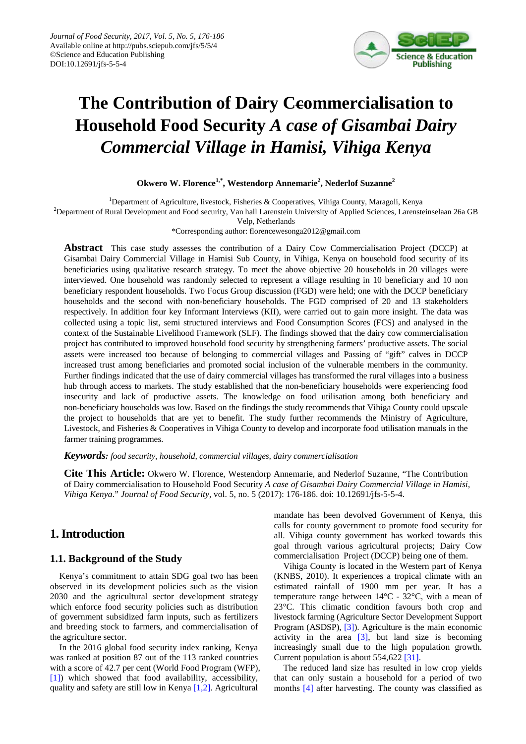

# **The Contribution of Dairy Ceommercialisation to Household Food Security** *A case of Gisambai Dairy Commercial Village in Hamisi, Vihiga Kenya*

**Okwero W. Florence1,\*, Westendorp Annemarie2 , Nederlof Suzanne<sup>2</sup>**

<sup>1</sup>Department of Agriculture, livestock, Fisheries & Cooperatives, Vihiga County, Maragoli, Kenya

<sup>2</sup>Department of Rural Development and Food security, Van hall Larenstein University of Applied Sciences, Larensteinselaan 26a GB

Velp, Netherlands

\*Corresponding author: florencewesonga2012@gmail.com

**Abstract** This case study assesses the contribution of a Dairy Cow Commercialisation Project (DCCP) at Gisambai Dairy Commercial Village in Hamisi Sub County, in Vihiga, Kenya on household food security of its beneficiaries using qualitative research strategy. To meet the above objective 20 households in 20 villages were interviewed. One household was randomly selected to represent a village resulting in 10 beneficiary and 10 non beneficiary respondent households. Two Focus Group discussion (FGD) were held; one with the DCCP beneficiary households and the second with non-beneficiary households. The FGD comprised of 20 and 13 stakeholders respectively. In addition four key Informant Interviews (KII), were carried out to gain more insight. The data was collected using a topic list, semi structured interviews and Food Consumption Scores (FCS) and analysed in the context of the Sustainable Livelihood Framework (SLF). The findings showed that the dairy cow commercialisation project has contributed to improved household food security by strengthening farmers' productive assets. The social assets were increased too because of belonging to commercial villages and Passing of "gift" calves in DCCP increased trust among beneficiaries and promoted social inclusion of the vulnerable members in the community. Further findings indicated that the use of dairy commercial villages has transformed the rural villages into a business hub through access to markets. The study established that the non-beneficiary households were experiencing food insecurity and lack of productive assets. The knowledge on food utilisation among both beneficiary and non-beneficiary households was low. Based on the findings the study recommends that Vihiga County could upscale the project to households that are yet to benefit. The study further recommends the Ministry of Agriculture, Livestock, and Fisheries & Cooperatives in Vihiga County to develop and incorporate food utilisation manuals in the farmer training programmes.

*Keywords: food security, household, commercial villages, dairy commercialisation*

**Cite This Article:** Okwero W. Florence, Westendorp Annemarie, and Nederlof Suzanne, "The Contribution of Dairy commercialisation to Household Food Security *A case of Gisambai Dairy Commercial Village in Hamisi, Vihiga Kenya*." *Journal of Food Security*, vol. 5, no. 5 (2017): 176-186. doi: 10.12691/jfs-5-5-4.

# **1. Introduction**

### **1.1. Background of the Study**

Kenya's commitment to attain SDG goal two has been observed in its development policies such as the vision 2030 and the agricultural sector development strategy which enforce food security policies such as distribution of government subsidized farm inputs, such as fertilizers and breeding stock to farmers, and commercialisation of the agriculture sector.

In the 2016 global food security index ranking, Kenya was ranked at position 87 out of the 113 ranked countries with a score of 42.7 per cent (World Food Program (WFP), [\[1\]\)](#page-6-0) which showed that food availability, accessibility, quality and safety are still low in Kenya [\[1,2\].](#page-6-0) Agricultural

mandate has been devolved Government of Kenya, this calls for county government to promote food security for all. Vihiga county government has worked towards this goal through various agricultural projects; Dairy Cow commercialisation Project (DCCP) being one of them.

Vihiga County is located in the Western part of Kenya (KNBS, 2010). It experiences a tropical climate with an estimated rainfall of 1900 mm per year. It has a temperature range between 14°C - 32°C, with a mean of 23°C. This climatic condition favours both crop and livestock farming (Agriculture Sector Development Support Program (ASDSP), [\[3\]\)](#page-6-1). Agriculture is the main economic activity in the area  $\begin{bmatrix} 3 \end{bmatrix}$ , but land size is becoming increasingly small due to the high population growth. Current population is about 554,622 [\[31\].](#page-6-2)

The reduced land size has resulted in low crop yields that can only sustain a household for a period of two months [\[4\]](#page-6-3) after harvesting. The county was classified as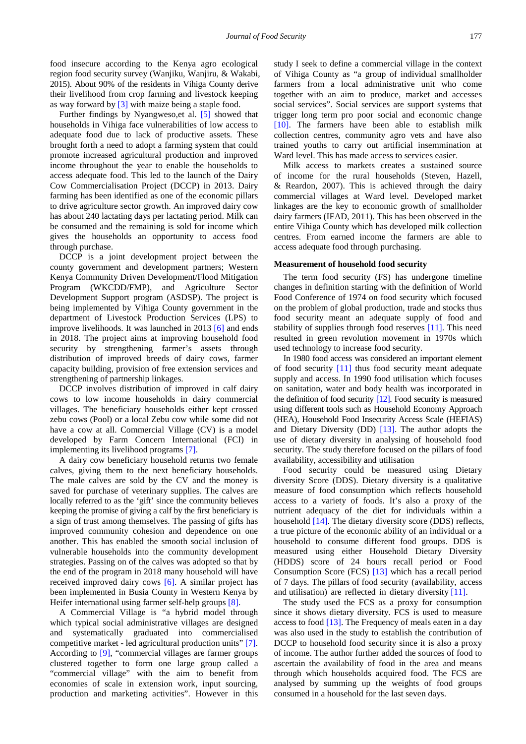food insecure according to the Kenya agro ecological region food security survey (Wanjiku, Wanjiru, & Wakabi, 2015). About 90% of the residents in Vihiga County derive their livelihood from crop farming and livestock keeping as way forward by [\[3\]](#page-6-1) with maize being a staple food.

Further findings by Nyangweso,et al. [\[5\]](#page-6-4) showed that households in Vihiga face vulnerabilities of low access to adequate food due to lack of productive assets. These brought forth a need to adopt a farming system that could promote increased agricultural production and improved income throughout the year to enable the households to access adequate food. This led to the launch of the Dairy Cow Commercialisation Project (DCCP) in 2013. Dairy farming has been identified as one of the economic pillars to drive agriculture sector growth. An improved dairy cow has about 240 lactating days per lactating period. Milk can be consumed and the remaining is sold for income which gives the households an opportunity to access food through purchase.

DCCP is a joint development project between the county government and development partners; Western Kenya Community Driven Development/Flood Mitigation Program (WKCDD/FMP), and Agriculture Sector Development Support program (ASDSP). The project is being implemented by Vihiga County government in the department of Livestock Production Services (LPS) to improve livelihoods. It was launched in 2013 [\[6\]](#page-6-5) and ends in 2018. The project aims at improving household food security by strengthening farmer's assets through distribution of improved breeds of dairy cows, farmer capacity building, provision of free extension services and strengthening of partnership linkages.

DCCP involves distribution of improved in calf dairy cows to low income households in dairy commercial villages. The beneficiary households either kept crossed zebu cows (Pool) or a local Zebu cow while some did not have a cow at all. Commercial Village (CV) is a model developed by Farm Concern International (FCI) in implementing its livelihood programs [\[7\].](#page-6-6)

A dairy cow beneficiary household returns two female calves, giving them to the next beneficiary households. The male calves are sold by the CV and the money is saved for purchase of veterinary supplies. The calves are locally referred to as the 'gift' since the community believes keeping the promise of giving a calf by the first beneficiary is a sign of trust among themselves. The passing of gifts has improved community cohesion and dependence on one another. This has enabled the smooth social inclusion of vulnerable households into the community development strategies. Passing on of the calves was adopted so that by the end of the program in 2018 many household will have received improved dairy cows [\[6\].](#page-6-5) A similar project has been implemented in Busia County in Western Kenya by Heifer international using farmer self-help groups [\[8\].](#page-6-7)

A Commercial Village is "a hybrid model through which typical social administrative villages are designed and systematically graduated into commercialised competitive market - led agricultural production units" [\[7\].](#page-6-6) According to [\[9\],](#page-6-8) "commercial villages are farmer groups clustered together to form one large group called a "commercial village" with the aim to benefit from economies of scale in extension work, input sourcing, production and marketing activities". However in this

study I seek to define a commercial village in the context of Vihiga County as "a group of individual smallholder farmers from a local administrative unit who come together with an aim to produce, market and accesses social services". Social services are support systems that trigger long term pro poor social and economic change [\[10\].](#page-6-9) The farmers have been able to establish milk collection centres, community agro vets and have also trained youths to carry out artificial insemmination at Ward level. This has made access to services easier.

Milk access to markets creates a sustained source of income for the rural households (Steven, Hazell, & Reardon, 2007). This is achieved through the dairy commercial villages at Ward level. Developed market linkages are the key to economic growth of smallholder dairy farmers (IFAD, 2011). This has been observed in the entire Vihiga County which has developed milk collection centres. From earned income the farmers are able to access adequate food through purchasing.

#### **Measurement of household food security**

The term food security (FS) has undergone timeline changes in definition starting with the definition of World Food Conference of 1974 on food security which focused on the problem of global production, trade and stocks thus food security meant an adequate supply of food and stability of supplies through food reserves [\[11\].](#page-6-10) This need resulted in green revolution movement in 1970s which used technology to increase food security.

In 1980 food access was considered an important element of food security [\[11\]](#page-6-10) thus food security meant adequate supply and access. In 1990 food utilisation which focuses on sanitation, water and body health was incorporated in the definition of food security  $[12]$ . Food security is measured using different tools such as Household Economy Approach (HEA), Household Food Insecurity Access Scale (HEFIAS) and Dietary Diversity (DD) [\[13\].](#page-6-12) The author adopts the use of dietary diversity in analysing of household food security. The study therefore focused on the pillars of food availability, accessibility and utilisation

Food security could be measured using Dietary diversity Score (DDS). Dietary diversity is a qualitative measure of food consumption which reflects household access to a variety of foods. It's also a proxy of the nutrient adequacy of the diet for individuals within a household [\[14\].](#page-6-13) The dietary diversity score (DDS) reflects, a true picture of the economic ability of an individual or a household to consume different food groups. DDS is measured using either Household Dietary Diversity (HDDS) score of 24 hours recall period or Food Consumption Score (FCS) [\[13\]](#page-6-12) which has a recall period of 7 days. The pillars of food security (availability, access and utilisation) are reflected in dietary diversit[y \[11\].](#page-6-10)

The study used the FCS as a proxy for consumption since it shows dietary diversity. FCS is used to measure access to food [\[13\].](#page-6-12) The Frequency of meals eaten in a day was also used in the study to establish the contribution of DCCP to household food security since it is also a proxy of income. The author further added the sources of food to ascertain the availability of food in the area and means through which households acquired food. The FCS are analysed by summing up the weights of food groups consumed in a household for the last seven days.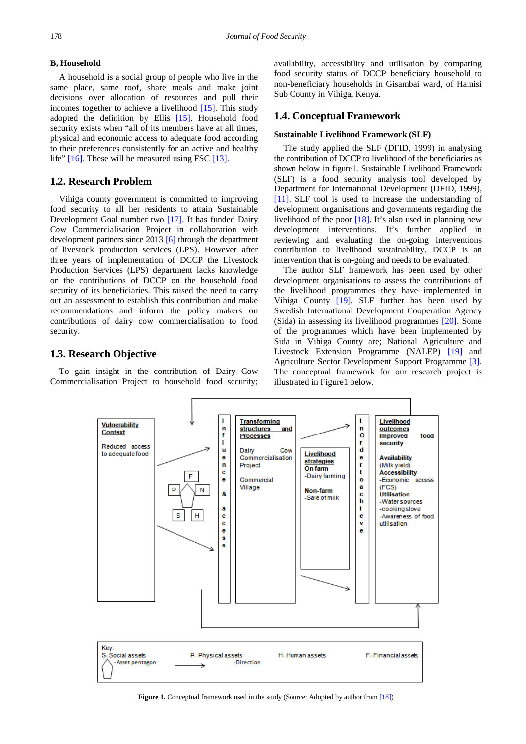#### **B, Household**

A household is a social group of people who live in the same place, same roof, share meals and make joint decisions over allocation of resources and pull their incomes together to achieve a livelihood [\[15\].](#page-6-14) This study adopted the definition by Ellis [\[15\].](#page-6-14) Household food security exists when "all of its members have at all times, physical and economic access to adequate food according to their preferences consistently for an active and healthy life" [\[16\].](#page-6-15) These will be measured using FSC [\[13\].](#page-6-12)

### **1.2. Research Problem**

Vihiga county government is committed to improving food security to all her residents to attain Sustainable Development Goal number two [\[17\].](#page-6-16) It has funded Dairy Cow Commercialisation Project in collaboration with development partners since 2013 [\[6\]](#page-6-5) through the department of livestock production services (LPS). However after three years of implementation of DCCP the Livestock Production Services (LPS) department lacks knowledge on the contributions of DCCP on the household food security of its beneficiaries. This raised the need to carry out an assessment to establish this contribution and make recommendations and inform the policy makers on contributions of dairy cow commercialisation to food security.

### **1.3. Research Objective**

To gain insight in the contribution of Dairy Cow Commercialisation Project to household food security; availability, accessibility and utilisation by comparing food security status of DCCP beneficiary household to non-beneficiary households in Gisambai ward, of Hamisi Sub County in Vihiga, Kenya.

#### **1.4. Conceptual Framework**

#### **Sustainable Livelihood Framework (SLF)**

The study applied the SLF (DFID, 1999) in analysing the contribution of DCCP to livelihood of the beneficiaries as shown below in figure1. Sustainable Livelihood Framework (SLF) is a food security analysis tool developed by Department for International Development (DFID, 1999), [\[11\].](#page-6-10) SLF tool is used to increase the understanding of development organisations and governments regarding the livelihood of the poor [\[18\].](#page-6-17) It's also used in planning new development interventions. It's further applied in reviewing and evaluating the on-going interventions contribution to livelihood sustainability. DCCP is an intervention that is on-going and needs to be evaluated.

The author SLF framework has been used by other development organisations to assess the contributions of the livelihood programmes they have implemented in Vihiga County [\[19\].](#page-6-18) SLF further has been used by Swedish International Development Cooperation Agency (Sida) in assessing its livelihood programmes [\[20\].](#page-6-19) Some of the programmes which have been implemented by Sida in Vihiga County are; National Agriculture and Livestock Extension Programme (NALEP) [\[19\]](#page-6-18) and Agriculture Sector Development Support Programme [\[3\].](#page-6-1) The conceptual framework for our research project is illustrated in Figure1 below.



**Figure 1.** Conceptual framework used in the study (Source: Adopted by author fro[m \[18\]\)](#page-6-17)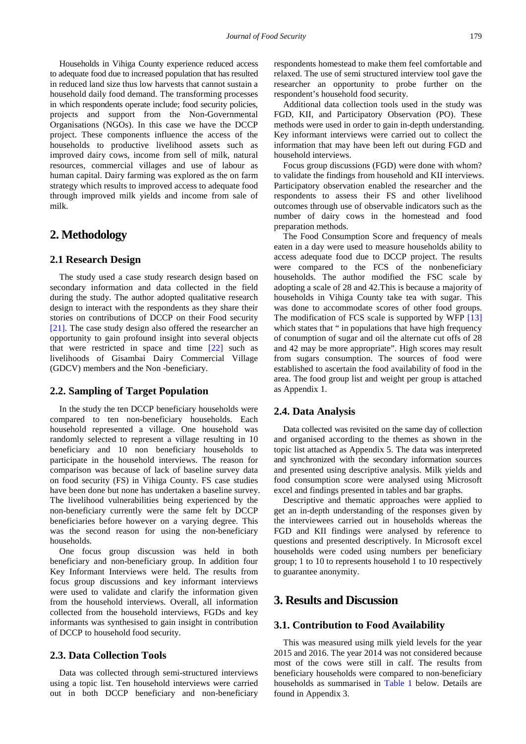Households in Vihiga County experience reduced access to adequate food due to increased population that has resulted in reduced land size thus low harvests that cannot sustain a household daily food demand. The transforming processes in which respondents operate include; food security policies, projects and support from the Non-Governmental Organisations (NGOs). In this case we have the DCCP project. These components influence the access of the households to productive livelihood assets such as improved dairy cows, income from sell of milk, natural resources, commercial villages and use of labour as human capital. Dairy farming was explored as the on farm strategy which results to improved access to adequate food through improved milk yields and income from sale of milk.

# **2. Methodology**

#### **2.1 Research Design**

The study used a case study research design based on secondary information and data collected in the field during the study. The author adopted qualitative research design to interact with the respondents as they share their stories on contributions of DCCP on their Food security [\[21\].](#page-6-20) The case study design also offered the researcher an opportunity to gain profound insight into several objects that were restricted in space and time [\[22\]](#page-6-21) such as livelihoods of Gisambai Dairy Commercial Village (GDCV) members and the Non -beneficiary.

### **2.2. Sampling of Target Population**

In the study the ten DCCP beneficiary households were compared to ten non-beneficiary households. Each household represented a village. One household was randomly selected to represent a village resulting in 10 beneficiary and 10 non beneficiary households to participate in the household interviews. The reason for comparison was because of lack of baseline survey data on food security (FS) in Vihiga County. FS case studies have been done but none has undertaken a baseline survey. The livelihood vulnerabilities being experienced by the non-beneficiary currently were the same felt by DCCP beneficiaries before however on a varying degree. This was the second reason for using the non-beneficiary households.

One focus group discussion was held in both beneficiary and non-beneficiary group. In addition four Key Informant Interviews were held. The results from focus group discussions and key informant interviews were used to validate and clarify the information given from the household interviews. Overall, all information collected from the household interviews, FGDs and key informants was synthesised to gain insight in contribution of DCCP to household food security.

### **2.3. Data Collection Tools**

Data was collected through semi-structured interviews using a topic list. Ten household interviews were carried out in both DCCP beneficiary and non-beneficiary respondents homestead to make them feel comfortable and relaxed. The use of semi structured interview tool gave the researcher an opportunity to probe further on the respondent's household food security.

Additional data collection tools used in the study was FGD, KII, and Participatory Observation (PO). These methods were used in order to gain in-depth understanding. Key informant interviews were carried out to collect the information that may have been left out during FGD and household interviews.

Focus group discussions (FGD) were done with whom? to validate the findings from household and KII interviews. Participatory observation enabled the researcher and the respondents to assess their FS and other livelihood outcomes through use of observable indicators such as the number of dairy cows in the homestead and food preparation methods.

The Food Consumption Score and frequency of meals eaten in a day were used to measure households ability to access adequate food due to DCCP project. The results were compared to the FCS of the nonbeneficiary households. The author modified the FSC scale by adopting a scale of 28 and 42.This is because a majority of households in Vihiga County take tea with sugar. This was done to accommodate scores of other food groups. The modification of FCS scale is supported by WFP [\[13\]](#page-6-12) which states that " in populations that have high frequency of conumption of sugar and oil the alternate cut offs of 28 and 42 may be more appropriate". High scores may result from sugars consumption. The sources of food were established to ascertain the food availability of food in the area. The food group list and weight per group is attached as Appendix 1.

### **2.4. Data Analysis**

Data collected was revisited on the same day of collection and organised according to the themes as shown in the topic list attached as Appendix 5. The data was interpreted and synchronized with the secondary information sources and presented using descriptive analysis. Milk yields and food consumption score were analysed using Microsoft excel and findings presented in tables and bar graphs.

Descriptive and thematic approaches were applied to get an in-depth understanding of the responses given by the interviewees carried out in households whereas the FGD and KII findings were analysed by reference to questions and presented descriptively. In Microsoft excel households were coded using numbers per beneficiary group; 1 to 10 to represents household 1 to 10 respectively to guarantee anonymity.

# **3. Results and Discussion**

#### **3.1. Contribution to Food Availability**

This was measured using milk yield levels for the year 2015 and 2016. The year 2014 was not considered because most of the cows were still in calf. The results from beneficiary households were compared to non-beneficiary households as summarised in [Table 1](#page-4-0) below. Details are found in Appendix 3.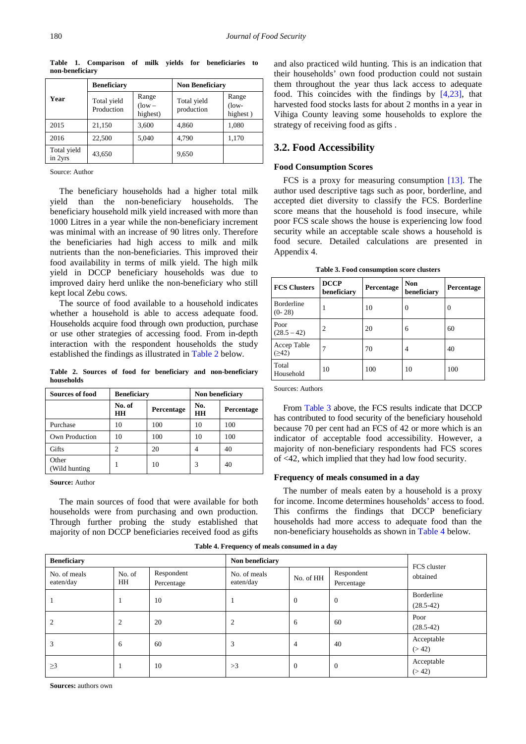<span id="page-4-0"></span>

|                        | <b>Beneficiary</b>        |                                  | <b>Non Beneficiary</b>    |                               |  |
|------------------------|---------------------------|----------------------------------|---------------------------|-------------------------------|--|
| Year                   | Total yield<br>Production | Range<br>$($ low $-$<br>highest) | Total yield<br>production | Range<br>$($ low-<br>highest) |  |
| 2015                   | 21,150                    | 3,600                            | 4,860                     | 1,080                         |  |
| 2016                   | 22,500                    | 5,040                            | 4,790                     | 1,170                         |  |
| Total yield<br>in 2yrs | 43.650                    |                                  | 9,650                     |                               |  |

**Table 1. Comparison of milk yields for beneficiaries to non-beneficiary**

Source: Author

The beneficiary households had a higher total milk yield than the non-beneficiary households. The beneficiary household milk yield increased with more than 1000 Litres in a year while the non-beneficiary increment was minimal with an increase of 90 litres only. Therefore the beneficiaries had high access to milk and milk nutrients than the non-beneficiaries. This improved their food availability in terms of milk yield. The high milk yield in DCCP beneficiary households was due to improved dairy herd unlike the non-beneficiary who still kept local Zebu cows.

The source of food available to a household indicates whether a household is able to access adequate food. Households acquire food through own production, purchase or use other strategies of accessing food. From in-depth interaction with the respondent households the study established the findings as illustrated in [Table 2](#page-4-1) below.

**Table 2. Sources of food for beneficiary and non-beneficiary households**

<span id="page-4-1"></span>

| Sources of food         | <b>Beneficiary</b> |            | Non beneficiary |            |  |
|-------------------------|--------------------|------------|-----------------|------------|--|
|                         | No. of<br>HН       | Percentage |                 | Percentage |  |
| Purchase                | 10                 | 100        | 10              | 100        |  |
| Own Production          | 10                 | 100        | 10              | 100        |  |
| Gifts                   | っ                  | 20         |                 | 40         |  |
| Other<br>(Wild hunting) |                    | 10         | 3               | 40         |  |

**Source:** Author

The main sources of food that were available for both households were from purchasing and own production. Through further probing the study established that majority of non DCCP beneficiaries received food as gifts and also practiced wild hunting. This is an indication that their households' own food production could not sustain them throughout the year thus lack access to adequate food. This coincides with the findings by [\[4,23\],](#page-6-3) that harvested food stocks lasts for about 2 months in a year in Vihiga County leaving some households to explore the strategy of receiving food as gifts .

### **3.2. Food Accessibility**

#### **Food Consumption Scores**

FCS is a proxy for measuring consumption [\[13\].](#page-6-12) The author used descriptive tags such as poor, borderline, and accepted diet diversity to classify the FCS. Borderline score means that the household is food insecure, while poor FCS scale shows the house is experiencing low food security while an acceptable scale shows a household is food secure. Detailed calculations are presented in Appendix 4.

**Table 3. Food consumption score clusters**

<span id="page-4-2"></span>

| <b>FCS Clusters</b>           | <b>DCCP</b><br>beneficiary |     | <b>Non</b><br>beneficiary | Percentage |  |
|-------------------------------|----------------------------|-----|---------------------------|------------|--|
| <b>Borderline</b><br>$(0-28)$ | 1                          | 10  | 0                         | 0          |  |
| Poor<br>$(28.5 - 42)$         | 2                          | 20  | 6                         | 60         |  |
| Accep Table<br>(242)          | 7                          | 70  | 4                         | 40         |  |
| Total<br>Household            | 10                         | 100 | 10                        | 100        |  |

Sources: Authors

From [Table 3](#page-4-2) above, the FCS results indicate that DCCP has contributed to food security of the beneficiary household because 70 per cent had an FCS of 42 or more which is an indicator of acceptable food accessibility. However, a majority of non-beneficiary respondents had FCS scores of <42, which implied that they had low food security.

#### **Frequency of meals consumed in a day**

The number of meals eaten by a household is a proxy for income. Income determines households' access to food. This confirms the findings that DCCP beneficiary households had more access to adequate food than the non-beneficiary households as shown in [Table 4](#page-4-3) below.

<span id="page-4-3"></span>

| <b>Beneficiary</b>        |              |                          | Non beneficiary           | FCS cluster      |                          |                                  |
|---------------------------|--------------|--------------------------|---------------------------|------------------|--------------------------|----------------------------------|
| No. of meals<br>eaten/day | No. of<br>HH | Respondent<br>Percentage | No. of meals<br>eaten/day | No. of HH        | Respondent<br>Percentage | obtained                         |
|                           |              | 10                       |                           | $\mathbf{0}$     | $\theta$                 | <b>Borderline</b><br>$(28.5-42)$ |
| 2                         | 2            | 20                       | 2                         | 6                | 60                       | Poor<br>$(28.5-42)$              |
| 3                         | 6            | 60                       | 3                         | 4                | 40                       | Acceptable<br>(>42)              |
| $\geq$ 3                  |              | 10                       | >3                        | $\boldsymbol{0}$ | $\theta$                 | Acceptable<br>(>42)              |

**Table 4. Frequency of meals consumed in a day**

**Sources:** authors own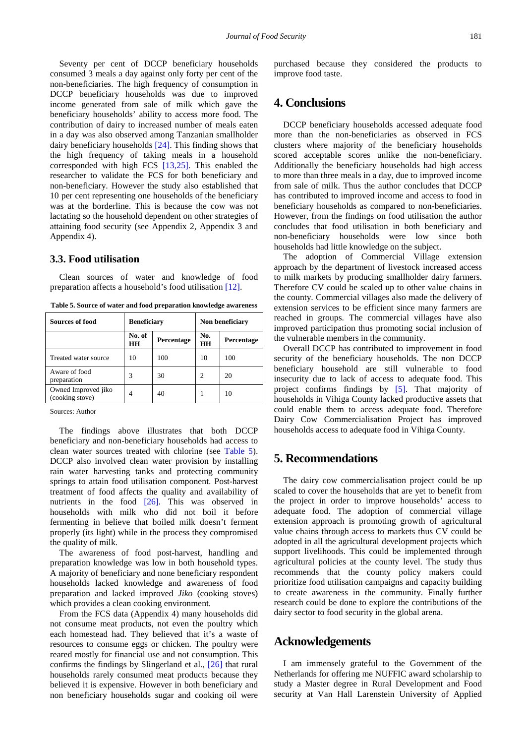Seventy per cent of DCCP beneficiary households consumed 3 meals a day against only forty per cent of the non-beneficiaries. The high frequency of consumption in DCCP beneficiary households was due to improved income generated from sale of milk which gave the beneficiary households' ability to access more food. The contribution of dairy to increased number of meals eaten in a day was also observed among Tanzanian smallholder dairy beneficiary households [\[24\].](#page-6-22) This finding shows that the high frequency of taking meals in a household corresponded with high FCS [\[13,25\].](#page-6-12) This enabled the researcher to validate the FCS for both beneficiary and non-beneficiary. However the study also established that 10 per cent representing one households of the beneficiary was at the borderline. This is because the cow was not lactating so the household dependent on other strategies of attaining food security (see Appendix 2, Appendix 3 and Appendix 4).

### **3.3. Food utilisation**

Clean sources of water and knowledge of food preparation affects a household's food utilisation [\[12\].](#page-6-11)

**Table 5. Source of water and food preparation knowledge awareness**

<span id="page-5-0"></span>

| Sources of food                        | <b>Beneficiary</b> |            | Non beneficiary  |            |  |
|----------------------------------------|--------------------|------------|------------------|------------|--|
|                                        | No. of<br>HН       | Percentage | No.<br><b>HH</b> | Percentage |  |
| Treated water source                   | 10                 | 100        | 10               | 100        |  |
| Aware of food<br>preparation           |                    | 30         | 2                | 20         |  |
| Owned Improved jiko<br>(cooking stove) | 4                  | 40         |                  | 10         |  |
|                                        |                    |            |                  |            |  |

Sources: Author

The findings above illustrates that both DCCP beneficiary and non-beneficiary households had access to clean water sources treated with chlorine (see [Table 5\)](#page-5-0). DCCP also involved clean water provision by installing rain water harvesting tanks and protecting community springs to attain food utilisation component. Post-harvest treatment of food affects the quality and availability of nutrients in the food [\[26\].](#page-6-23) This was observed in households with milk who did not boil it before fermenting in believe that boiled milk doesn't ferment properly (its light) while in the process they compromised the quality of milk.

The awareness of food post-harvest, handling and preparation knowledge was low in both household types. A majority of beneficiary and none beneficiary respondent households lacked knowledge and awareness of food preparation and lacked improved *Jiko* (cooking stoves) which provides a clean cooking environment.

From the FCS data (Appendix 4) many households did not consume meat products, not even the poultry which each homestead had. They believed that it's a waste of resources to consume eggs or chicken. The poultry were reared mostly for financial use and not consumption. This confirms the findings by Slingerland et al., [\[26\]](#page-6-23) that rural households rarely consumed meat products because they believed it is expensive. However in both beneficiary and non beneficiary households sugar and cooking oil were purchased because they considered the products to improve food taste.

# **4. Conclusions**

DCCP beneficiary households accessed adequate food more than the non-beneficiaries as observed in FCS clusters where majority of the beneficiary households scored acceptable scores unlike the non-beneficiary. Additionally the beneficiary households had high access to more than three meals in a day, due to improved income from sale of milk. Thus the author concludes that DCCP has contributed to improved income and access to food in beneficiary households as compared to non-beneficiaries. However, from the findings on food utilisation the author concludes that food utilisation in both beneficiary and non-beneficiary households were low since both households had little knowledge on the subject.

The adoption of Commercial Village extension approach by the department of livestock increased access to milk markets by producing smallholder dairy farmers. Therefore CV could be scaled up to other value chains in the county. Commercial villages also made the delivery of extension services to be efficient since many farmers are reached in groups. The commercial villages have also improved participation thus promoting social inclusion of the vulnerable members in the community.

Overall DCCP has contributed to improvement in food security of the beneficiary households. The non DCCP beneficiary household are still vulnerable to food insecurity due to lack of access to adequate food. This project confirms findings by [\[5\].](#page-6-4) That majority of households in Vihiga County lacked productive assets that could enable them to access adequate food. Therefore Dairy Cow Commercialisation Project has improved households access to adequate food in Vihiga County.

# **5. Recommendations**

The dairy cow commercialisation project could be up scaled to cover the households that are yet to benefit from the project in order to improve households' access to adequate food. The adoption of commercial village extension approach is promoting growth of agricultural value chains through access to markets thus CV could be adopted in all the agricultural development projects which support livelihoods. This could be implemented through agricultural policies at the county level. The study thus recommends that the county policy makers could prioritize food utilisation campaigns and capacity building to create awareness in the community. Finally further research could be done to explore the contributions of the dairy sector to food security in the global arena.

### **Acknowledgements**

I am immensely grateful to the Government of the Netherlands for offering me NUFFIC award scholarship to study a Master degree in Rural Development and Food security at Van Hall Larenstein University of Applied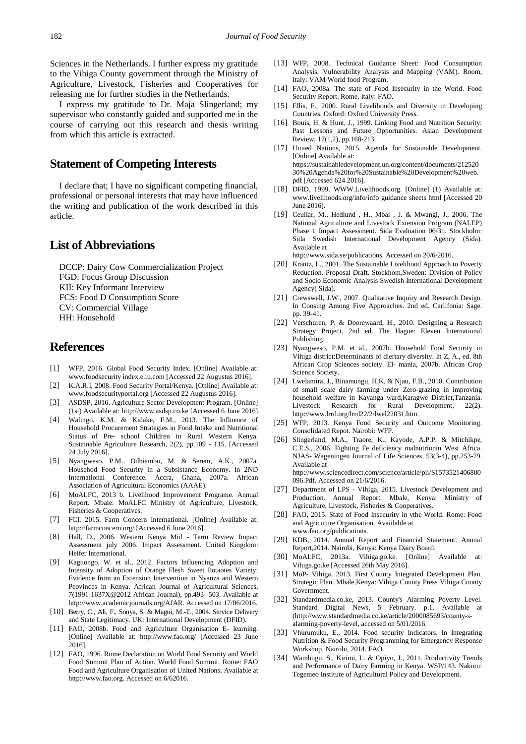Sciences in the Netherlands. I further express my gratitude to the Vihiga County government through the Ministry of Agriculture, Livestock, Fisheries and Cooperatives for releasing me for further studies in the Netherlands.

I express my gratitude to Dr. Maja Slingerland; my supervisor who constantly guided and supported me in the course of carrying out this research and thesis writing from which this article is extracted.

# **Statement of Competing Interests**

I declare that; I have no significant competing financial, professional or personal interests that may have influenced the writing and publication of the work described in this article.

# **List of Abbreviations**

DCCP: Dairy Cow Commercialization Project FGD: Focus Group Discussion KII: Key Informant Interview FCS: Food D Consumption Score CV: Commercial Village HH: Household

# **References**

- <span id="page-6-0"></span>[1] WFP, 2016. Global Food Security Index. [Online] Available at: www.foodsecurity index.e.iu.com [Accessed 22 Augustus 2016].
- [2] K.A.R.I, 2008. Food Security Portal/Kenya. [Online] Available at: www.foodsecurityportal.org [Accessed 22 Augustus 2016].
- <span id="page-6-1"></span>[3] ASDSP, 2016. Agriculture Sector Development Program. [Online] (1st) Available at: http://www.asdsp.co.ke [Accessed 6 June 2016].
- <span id="page-6-3"></span>[4] Walingo, K.M. & Kidake, F.M., 2013. The Influence of Household Procurement Strategies in Food Intake and Nutritional Status of Pre- school Children in Rural Western Kenya. Sustainable Agriculture Research, 2(2), pp.109 - 115. [Accessed 24 July 2016].
- <span id="page-6-4"></span>[5] Nyangweso, P.M., Odhiambo, M. & Serem, A.K., 2007a. Househod Food Security in a Subsistance Economy. In 2ND International Conference. Accra, Ghana, 2007a. African Association of Agricultural Economics (AAAE).
- <span id="page-6-5"></span>[6] MoALFC, 2013 b. Livelihood Improvement Programe. Annual Report. Mbale: MoALFC Ministry of Agriculture, Livestock, Fisheries & Cooperatives.
- <span id="page-6-6"></span>[7] FCI, 2015. Farm Concern International. [Online] Available at: http://farmconcern.org/ [Accessed 6 June 2016].
- <span id="page-6-7"></span>[8] Hall, D., 2006. Western Kenya Mid - Term Review Impact Assessment july 2006. Impact Assessment. United Kingdom: Heifer International.
- <span id="page-6-8"></span>[9] Kaguongo, W. et al., 2012. Factors Influencing Adoption and Intensity of Adoption of Orange Flesh Sweet Potaotes Variety: Evidence from an Extension Intervention in Nyanza and Western Peovinces in Kenya. African Journal of Agricultural Sciences, 7(1991-1637X@2012 African Journal), pp.493- 503. Available at http://www.academicjournals.org/AJAR. Accessed on 17/06/2016.
- <span id="page-6-9"></span>[10] Berry, C., Ali, F., Sonya, S. & Magui, M.-T., 2004. Service Delivery and State Legitimacy. UK: International Development (DFID).
- <span id="page-6-10"></span>[11] FAO, 2008b. Food and Agriculture Organisation E- learning. [Online] Available at: http://www.fao.org/ [Accessed 23 June 2016].
- <span id="page-6-11"></span>[12] FAO, 1996. Rome Declaration on World Food Security and World Food Summit Plan of Action. World Food Summit. Rome: FAO Food and Agriculture Organisation of United Nations. Available at http://www.fao.org. Accessed on 6/62016.
- <span id="page-6-12"></span>[13] WFP, 2008. Technical Guidance Sheet: Food Consumption Analysis. Vulnerability Analysis and Mapping (VAM). Room, Italy: VAM World food Program.
- <span id="page-6-13"></span>[14] FAO, 2008a. The state of Food Insecurity in the World. Food Security Report. Rome, Italy: FAO.
- <span id="page-6-14"></span>[15] Ellis, F., 2000. Rural Livelihoods and Diversity in Developing Countries. Oxford: Oxford University Press.
- <span id="page-6-15"></span>[16] Bouis, H. & Hunt, J., 1999. Linking Food and Nutrition Security: Past Lessons and Future Opportunities. Asian Development Review, 17(1,2), pp.168-213.
- <span id="page-6-16"></span>[17] United Nations, 2015. Agenda for Sustainable Development. [Online] Available at: https://sustainabledevelopment.un.org/content/documents/212520 30%20Agenda%20for%20Sustainable%20Development%20web. pdf [Accessed 624 2016].
- <span id="page-6-17"></span>[18] DFID, 1999. WWW.Livelihoods.org. [Online] (1) Available at: www.livelihoods.org/info/info guidance sheets html [Accessed 20 June 2016].
- <span id="page-6-18"></span>[19] Ceullar, M., Hedlund , H., Mbai , J. & Mwangi, J., 2006. The National Agriculture and Livestock Extension Program (NALEP) Phase 1 Impact Assessment. Sida Evaluation 06/31. Stockholm: Sida Swedish International Development Agency (Sida). Available at

http://www.sida.se/publications. Accessed on 20/6/2016.

- <span id="page-6-19"></span>[20] Krantz, L., 2001. The Sustainable Livelihood Approach to Poverty Reduction. Proposal Draft. Stockhom,Sweden: Division of Policy and Socio Economic Analysis Swedish International Development Agency( Sida).
- <span id="page-6-20"></span>[21] Crewswell, J.W., 2007. Qualitative Inquiry and Research Design. In Coosing Among Five Approaches. 2nd ed. Carlifonia: Sage. pp. 39-41.
- <span id="page-6-21"></span>[22] Verschuren, P. & Doorewaard, H., 2010. Designing a Research Strategy Project. 2nd ed. The Hague: Eleven International Publishing.
- [23] Nyangweso, P.M. et al., 2007b. Household Food Security in Vihiga district:Determinants of diertary diversity. In Z, A., ed. 8th African Crop Sciences society. El- mania, 2007b. African Crop Science Society.
- <span id="page-6-22"></span>[24] Lwelamira, J., Binamungu, H.K. & Njau, F.B., 2010. Contribution of small scale dairy farming under Zero-grazing in improving household welfare in Kayanga ward,Karagwe District,Tanzania. Livestock Research for Rural Development, 22(2). http://www.lrrd.org/lrrd22/2/lwel22031.htm.
- [25] WFP, 2013. Kenya Food Security and Outcome Monitoring. Consolidated Repot. Nairobi: WFP.
- <span id="page-6-23"></span>[26] Slingerland, M.A., Traore, K., Kayode, A.P.P. & Mitchikpe, C.E.S., 2006. Fighting Fe deficiency malnutrionin West Africa. NJAS- Wageningen Journal of Life Sciences, 53(3-4), pp.253-79. Available at http://www.sciencedirect.com/science/article/pii/S1573521406800 096.Pdf. Accessed on 21/6/2016.
- [27] Department of LPS Vihiga, 2015. Livestock Development and Production. Annual Report. Mbale, Kenya: Ministry of Agriculture, Livestock, Fisheries & Cooperatives.
- [28] FAO, 2015. State of Food Insecurity in ythe World. Rome: Food and Agricuture Organisation. Avaiilable at www.fao.org/publications.
- [29] KDB, 2014. Annual Report and Financial Statement. Annual Report,2014. Nairobi, Kenya: Kenya Dairy Board.
- [30] MoALFC, 2013a. Vihiga.go.ke. [Online] Available at: Vihiga.go.ke [Accessed 26th May 2016].
- <span id="page-6-2"></span>[31] MoP- Vihiga, 2013. First County Integrated Development Plan. Strategic Plan. Mbale,Kenya: Vihiga County Press Vihiga County Government.
- [32] Standardmedia.co.ke, 2013. County's Alarming Poverty Level. Standard Digital News, 5 February. p.1. Available at (http://www.standardmedia.co.ke/article/2000085693/county-salarming-poverty-level, accessed on 5/01/2016.
- [33] Vhurumuku, E., 2014. Food security Indicators. In Integrating Nutrition & Food Security Programming for Emergency Response Workshop. Nairobi, 2014. FAO.
- [34] Wambugu, S., Kirimi, L. & Opiyo, J., 2011. Productivity Trends and Performance of Dairy Farming in Kenya. WSP/143. Nakuru: Tegemeo Institute of Agricultural Policy and Development.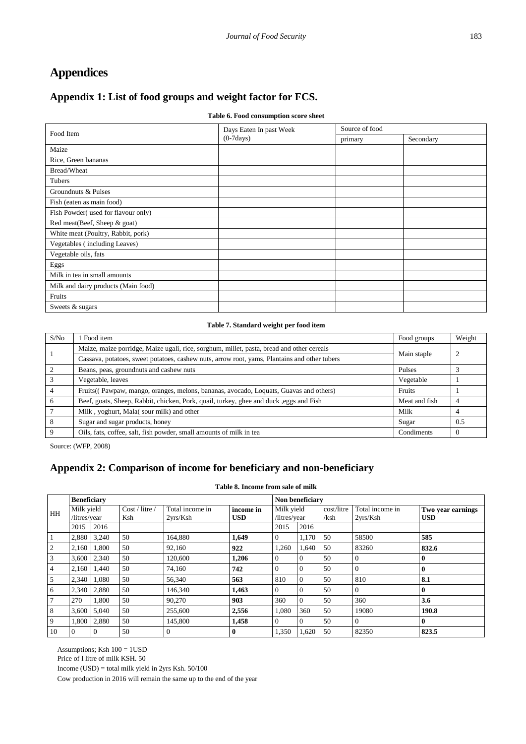# **Appendices**

# **Appendix 1: List of food groups and weight factor for FCS.**

### **Table 6. Food consumption score sheet**

| Food Item                           | Days Eaten In past Week | Source of food |           |  |
|-------------------------------------|-------------------------|----------------|-----------|--|
|                                     | $(0-7 days)$            | primary        | Secondary |  |
| Maize                               |                         |                |           |  |
| Rice, Green bananas                 |                         |                |           |  |
| Bread/Wheat                         |                         |                |           |  |
| Tubers                              |                         |                |           |  |
| Groundnuts & Pulses                 |                         |                |           |  |
| Fish (eaten as main food)           |                         |                |           |  |
| Fish Powder(used for flavour only)  |                         |                |           |  |
| Red meat(Beef, Sheep & goat)        |                         |                |           |  |
| White meat (Poultry, Rabbit, pork)  |                         |                |           |  |
| Vegetables (including Leaves)       |                         |                |           |  |
| Vegetable oils, fats                |                         |                |           |  |
| Eggs                                |                         |                |           |  |
| Milk in tea in small amounts        |                         |                |           |  |
| Milk and dairy products (Main food) |                         |                |           |  |
| Fruits                              |                         |                |           |  |
| Sweets & sugars                     |                         |                |           |  |

### **Table 7. Standard weight per food item**

| S/No           | 1 Food item                                                                                  | Food groups   | Weight   |
|----------------|----------------------------------------------------------------------------------------------|---------------|----------|
|                | Maize, maize porridge, Maize ugali, rice, sorghum, millet, pasta, bread and other cereals    | Main staple   | 2        |
|                | Cassava, potatoes, sweet potatoes, cashew nuts, arrow root, yams, Plantains and other tubers |               |          |
| $\mathcal{L}$  | Beans, peas, ground nuts and cashew nuts                                                     | Pulses        |          |
|                | Vegetable, leaves                                                                            | Vegetable     |          |
| $\overline{4}$ | Fruits((Pawpaw, mango, oranges, melons, bananas, avocado, Loquats, Guavas and others)        | Fruits        |          |
| 6              | Beef, goats, Sheep, Rabbit, chicken, Pork, quail, turkey, ghee and duck, eggs and Fish       | Meat and fish |          |
|                | Milk, yoghurt, Mala(sour milk) and other                                                     | Milk          |          |
| 8              | Sugar and sugar products, honey                                                              | Sugar         | 0.5      |
| 9              | Oils, fats, coffee, salt, fish powder, small amounts of milk in tea                          | Condiments    | $\Omega$ |

Source: (WFP, 2008)

# **Appendix 2: Comparison of income for beneficiary and non-beneficiary**

|  | Table 8. Income from sale of milk |  |  |  |
|--|-----------------------------------|--|--|--|
|  |                                   |  |  |  |

|                | <b>Beneficiary</b>         |                 |                       |                             |                         |                            | Non beneficiary |                    |                             |                                 |  |
|----------------|----------------------------|-----------------|-----------------------|-----------------------------|-------------------------|----------------------------|-----------------|--------------------|-----------------------------|---------------------------------|--|
| HH             | Milk yield<br>/litres/year |                 | Cost / litre /<br>Ksh | Total income in<br>2vrs/Ksh | income in<br><b>USD</b> | Milk yield<br>/litres/year |                 | cost/litre<br>/ksh | Total income in<br>2vrs/Ksh | Two year earnings<br><b>USD</b> |  |
|                | 2015                       | 2016            |                       |                             |                         | 2015                       | 2016            |                    |                             |                                 |  |
|                | 2.880                      | 3.240           | 50                    | 164.880                     | 1,649                   | $\overline{0}$             | 1.170           | 50                 | 58500                       | 585                             |  |
| 2              | 2,160                      | 1.800           | 50                    | 92,160                      | 922                     | 1,260                      | 1,640           | 50                 | 83260                       | 832.6                           |  |
| 3              |                            | $3,600$   2,340 | 50                    | 120,600                     | 1,206                   | $\theta$                   | $\Omega$        | 50                 | $\Omega$                    | $\mathbf{0}$                    |  |
| $\overline{4}$ | 2.160                      | 1.440           | 50                    | 74.160                      | 742                     | $\Omega$                   | $\Omega$        | 50                 | $\Omega$                    | $\mathbf{0}$                    |  |
| 5              | 2.340                      | 1.080           | 50                    | 56,340                      | 563                     | 810                        | $\Omega$        | 50                 | 810                         | 8.1                             |  |
| 6              | 2,340                      | 2,880           | 50                    | 146,340                     | 1,463                   | $\Omega$                   | $\Omega$        | 50                 |                             | $\mathbf{0}$                    |  |
| $\overline{7}$ | 270                        | 1.800           | 50                    | 90.270                      | 903                     | 360                        | $\Omega$        | 50                 | 360                         | 3.6                             |  |
| 8              | 3,600                      | 5,040           | 50                    | 255,600                     | 2,556                   | 1,080                      | 360             | 50                 | 19080                       | 190.8                           |  |
| 9              |                            | 1,800 2,880     | 50                    | 145,800                     | 1,458                   | $\Omega$                   | $\Omega$        | 50                 | $\Omega$                    | $\mathbf{0}$                    |  |
| 10             | $\overline{0}$             | $\Omega$        | 50                    | $\overline{0}$              | $\bf{0}$                | 1,350                      | 1,620           | 50                 | 82350                       | 823.5                           |  |

Assumptions; Ksh 100 = 1USD

Price of I litre of milk KSH. 50

Income (USD) = total milk yield in 2yrs Ksh. 50/100

Cow production in 2016 will remain the same up to the end of the year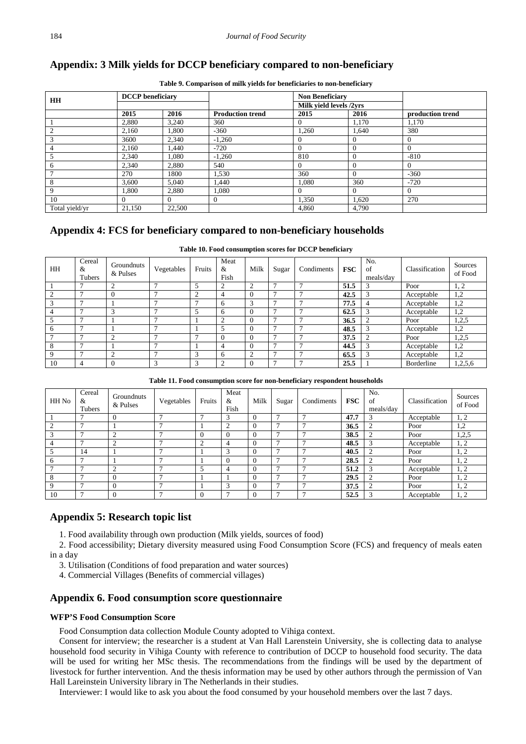# **Appendix: 3 Milk yields for DCCP beneficiary compared to non-beneficiary**

| <b>HH</b>      | <b>DCCP</b> beneficiary |        |                         | <b>Non Beneficiary</b>  |        |                  |  |
|----------------|-------------------------|--------|-------------------------|-------------------------|--------|------------------|--|
|                |                         |        |                         | Milk yield levels /2yrs |        |                  |  |
|                | 2015                    | 2016   | <b>Production trend</b> | 2015                    | 2016   | production trend |  |
|                | 2.880                   | 3,240  | 360                     |                         | 1,170  | 1,170            |  |
| $\overline{2}$ | 2.160                   | 1.800  | $-360$                  | 1.260                   | 1.640  | 380              |  |
| 3              | 3600                    | 2,340  | $-1,260$                |                         | $_{0}$ | $\overline{0}$   |  |
| $\overline{4}$ | 2,160                   | 1.440  | $-720$                  | $\Omega$                |        | $\Omega$         |  |
| 5              | 2,340                   | 1.080  | $-1,260$                | 810                     | 0      | $-810$           |  |
| 6              | 2,340                   | 2,880  | 540                     |                         |        | $\Omega$         |  |
|                | 270                     | 1800   | 1,530                   | 360                     |        | $-360$           |  |
| 8              | 3.600                   | 5.040  | 1.440                   | 1.080                   | 360    | $-720$           |  |
| 9              | 1.800                   | 2,880  | 1,080                   | 0                       | 0      | $\Omega$         |  |
| 10             |                         |        | 0                       | 1,350                   | 1,620  | 270              |  |
| Total yield/yr | 21,150                  | 22,500 |                         | 4,860                   | 4,790  |                  |  |

**Table 9. Comparison of milk yields for beneficiaries to non-beneficiary**

# **Appendix 4: FCS for beneficiary compared to non-beneficiary households**

|  | Table 10. Food consumption scores for DCCP beneficiary |  |  |
|--|--------------------------------------------------------|--|--|
|  |                                                        |  |  |

| HH          | Cereal<br>&<br>Tubers | Groundnuts<br>& Pulses | Vegetables      | Fruits     | Meat<br>&<br>Fish | Milk      | Sugar | Condiments | <b>FSC</b> | No.<br>of<br>meals/day | Classification | Sources<br>of Food |
|-------------|-----------------------|------------------------|-----------------|------------|-------------------|-----------|-------|------------|------------|------------------------|----------------|--------------------|
|             |                       | 2                      | $\mathbf{r}$    |            |                   | $\bigcap$ |       | -          | 51.5       |                        | Poor           | 1, 2               |
|             |                       |                        | ,               | $\sim$     |                   |           |       |            | 42.5       | $\sqrt{2}$             | Acceptable     | 1,2                |
|             |                       |                        | $\mathbf{\tau}$ |            | <sub>6</sub>      |           |       |            | 77.5       |                        | Acceptable     | 1,2                |
| 4           |                       |                        | ,               |            | <sub>6</sub>      |           |       |            | 62.5       |                        | Acceptable     | 1,2                |
|             |                       |                        | $\mathbf{r}$    |            | ◠                 |           |       |            | 36.5       | $\overline{c}$         | Poor           | 1,2,5              |
| 6           |                       |                        | Ξ               |            |                   |           |       |            | 48.5       |                        | Acceptable     | 1,2                |
|             |                       | 2                      | ,               |            | $\Omega$          |           |       | Ξ          | 37.5       | $\bigcap$              | Poor           | 1,2,5              |
| 8           |                       |                        | $\mathbf{r}$    |            | 4                 |           |       |            | 44.5       | 3                      | Acceptable     | 1,2                |
| $\mathbf Q$ |                       | ◠                      | ,               | $\sqrt{2}$ | <sub>6</sub>      |           |       |            | 65.5       | 3                      | Acceptable     | 1,2                |
| 10          |                       |                        | 3               | ⌒          | ◠                 |           |       |            | 25.5       |                        | Borderline     | 1,2,5,6            |

**Table 11. Food consumption score for non-beneficiary respondent households**

| HH No          | Cereal<br>&<br>Tubers | Groundnuts<br>& Pulses | Vegetables | Fruits         | Meat<br>&<br>Fish | Milk     | Sugar | Condiments | <b>FSC</b> | No.<br>of<br>meals/day | Classification | Sources<br>of Food |
|----------------|-----------------------|------------------------|------------|----------------|-------------------|----------|-------|------------|------------|------------------------|----------------|--------------------|
|                |                       |                        |            |                | 3                 |          | -     |            | 47.7       | 3                      | Acceptable     | 1, 2               |
| $\overline{2}$ | −                     |                        |            |                | n                 |          |       |            | 36.5       | $\bigcap$              | Poor           | 1,2                |
| 3              |                       | $\sim$                 |            | $\overline{0}$ |                   | $\Omega$ |       | -          | 38.5       | ◠                      | Poor           | 1,2,5              |
|                | −                     | $\sim$                 |            | 2              | ⊿                 |          |       |            | 48.5       | 3                      | Acceptable     | 1, 2               |
| -5             | 14                    |                        |            |                | 3                 |          |       |            | 40.5       | $\sim$                 | Poor           | 1, 2               |
| 6              |                       |                        |            |                |                   | $\Omega$ |       |            | 28.5       | $\bigcirc$             | Poor           | 1, 2               |
|                | −                     | $\bigcap$              |            | 5              | 4                 |          |       |            | 51.2       | 3                      | Acceptable     | 1, 2               |
| -8             |                       |                        |            |                |                   |          |       |            | 29.5       | ↑                      | Poor           | 1, 2               |
| - 9            |                       |                        |            |                | $\sqrt{2}$        |          |       |            | 37.5       | $\bigcirc$             | Poor           | 1, 2               |
| 10             |                       |                        |            | $\theta$       | -                 |          |       | -          | 52.5       | 3                      | Acceptable     | 1, 2               |

### **Appendix 5: Research topic list**

1. Food availability through own production (Milk yields, sources of food)

2. Food accessibility; Dietary diversity measured using Food Consumption Score (FCS) and frequency of meals eaten in a day

3. Utilisation (Conditions of food preparation and water sources)

4. Commercial Villages (Benefits of commercial villages)

### **Appendix 6. Food consumption score questionnaire**

#### **WFP'S Food Consumption Score**

Food Consumption data collection Module County adopted to Vihiga context.

Consent for interview; the researcher is a student at Van Hall Larenstein University, she is collecting data to analyse household food security in Vihiga County with reference to contribution of DCCP to household food security. The data will be used for writing her MSc thesis. The recommendations from the findings will be used by the department of livestock for further intervention. And the thesis information may be used by other authors through the permission of Van Hall Lareinstein University library in The Netherlands in their studies.

Interviewer: I would like to ask you about the food consumed by your household members over the last 7 days.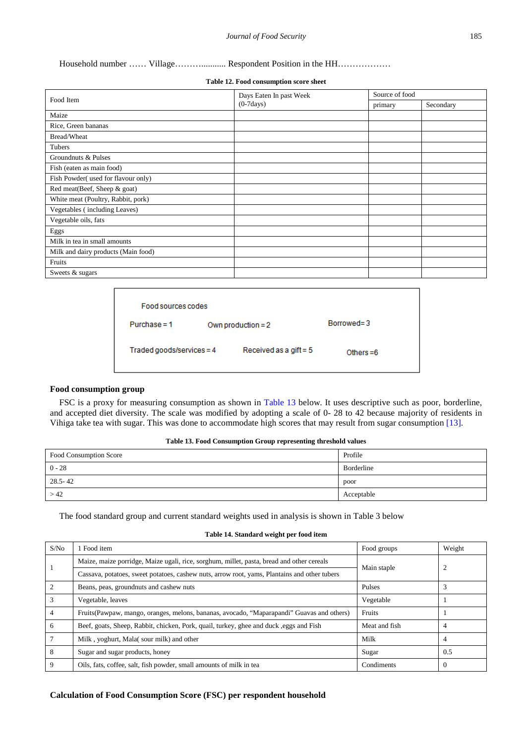### Household number …… Village………........... Respondent Position in the HH………………

#### **Table 12. Food consumption score sheet**

|                                     | Days Eaten In past Week | Source of food |           |  |
|-------------------------------------|-------------------------|----------------|-----------|--|
| Food Item                           | $(0-7 days)$            | primary        | Secondary |  |
| Maize                               |                         |                |           |  |
| Rice, Green bananas                 |                         |                |           |  |
| Bread/Wheat                         |                         |                |           |  |
| Tubers                              |                         |                |           |  |
| Groundnuts & Pulses                 |                         |                |           |  |
| Fish (eaten as main food)           |                         |                |           |  |
| Fish Powder(used for flavour only)  |                         |                |           |  |
| Red meat(Beef, Sheep & goat)        |                         |                |           |  |
| White meat (Poultry, Rabbit, pork)  |                         |                |           |  |
| Vegetables (including Leaves)       |                         |                |           |  |
| Vegetable oils, fats                |                         |                |           |  |
| Eggs                                |                         |                |           |  |
| Milk in tea in small amounts        |                         |                |           |  |
| Milk and dairy products (Main food) |                         |                |           |  |
| Fruits                              |                         |                |           |  |
| Sweets & sugars                     |                         |                |           |  |

| Food sources codes             |                          |             |  |  |  |  |
|--------------------------------|--------------------------|-------------|--|--|--|--|
| $Purchase = 1$                 | $Borrowed = 3$           |             |  |  |  |  |
| $Traded \, goods/services = 4$ | Received as a gift = $5$ | Others $=6$ |  |  |  |  |

#### **Food consumption group**

FSC is a proxy for measuring consumption as shown in [Table 13](#page-9-0) below. It uses descriptive such as poor, borderline, and accepted diet diversity. The scale was modified by adopting a scale of 0- 28 to 42 because majority of residents in Vihiga take tea with sugar. This was done to accommodate high scores that may result from sugar consumption [\[13\].](#page-6-12)

#### **Table 13. Food Consumption Group representing threshold values**

<span id="page-9-0"></span>

| Food Consumption Score | Profile    |
|------------------------|------------|
| $0 - 28$               | Borderline |
| $28.5 - 42$            | poor       |
| >42                    | Acceptable |

The food standard group and current standard weights used in analysis is shown in Table 3 below

| S/No            | 1 Food item                                                                                  | Food groups   | Weight         |
|-----------------|----------------------------------------------------------------------------------------------|---------------|----------------|
|                 | Maize, maize porridge, Maize ugali, rice, sorghum, millet, pasta, bread and other cereals    |               | $\overline{2}$ |
|                 | Cassava, potatoes, sweet potatoes, cashew nuts, arrow root, yams, Plantains and other tubers | Main staple   |                |
| 2               | Beans, peas, groundnuts and cashew nuts                                                      | Pulses        |                |
| $\mathcal{E}$   | Vegetable, leaves                                                                            | Vegetable     |                |
| $\overline{4}$  | Fruits (Pawpaw, mango, oranges, melons, bananas, avocado, "Maparapandi" Guavas and others)   | Fruits        |                |
| 6               | Beef, goats, Sheep, Rabbit, chicken, Pork, quail, turkey, ghee and duck, eggs and Fish       | Meat and fish | 4              |
| $7\phantom{.0}$ | Milk, yoghurt, Mala(sour milk) and other                                                     | Milk          | $\overline{4}$ |
| -8              | Sugar and sugar products, honey                                                              | Sugar         | 0.5            |
| 9               | Oils, fats, coffee, salt, fish powder, small amounts of milk in tea                          | Condiments    | $\theta$       |

#### **Table 14. Standard weight per food item**

### **Calculation of Food Consumption Score (FSC) per respondent household**